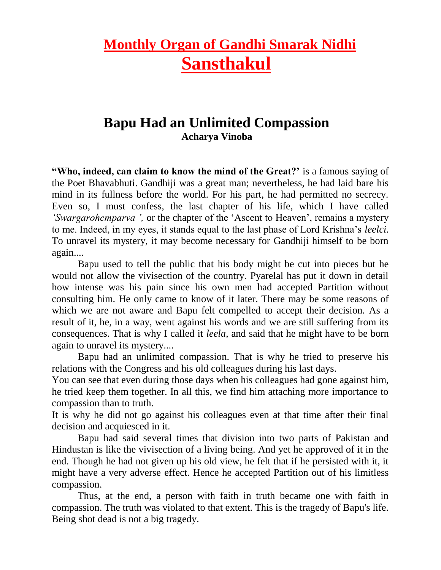# **Monthly Organ of Gandhi Smarak Nidhi Sansthakul**

## **Bapu Had an Unlimited Compassion Acharya Vinoba**

**"Who, indeed, can claim to know the mind of the Great?'** is a famous saying of the Poet Bhavabhuti. Gandhiji was a great man; nevertheless, he had laid bare his mind in its fullness before the world. For his part, he had permitted no secrecy. Even so, I must confess, the last chapter of his life, which I have called *'Swargarohcmparva ',* or the chapter of the 'Ascent to Heaven', remains a mystery to me. Indeed, in my eyes, it stands equal to the last phase of Lord Krishna's *leelci.* To unravel its mystery, it may become necessary for Gandhiji himself to be born again....

Bapu used to tell the public that his body might be cut into pieces but he would not allow the vivisection of the country. Pyarelal has put it down in detail how intense was his pain since his own men had accepted Partition without consulting him. He only came to know of it later. There may be some reasons of which we are not aware and Bapu felt compelled to accept their decision. As a result of it, he, in a way, went against his words and we are still suffering from its consequences. That is why I called it *leela,* and said that he might have to be born again to unravel its mystery....

Bapu had an unlimited compassion. That is why he tried to preserve his relations with the Congress and his old colleagues during his last days.

You can see that even during those days when his colleagues had gone against him, he tried keep them together. In all this, we find him attaching more importance to compassion than to truth.

It is why he did not go against his colleagues even at that time after their final decision and acquiesced in it.

Bapu had said several times that division into two parts of Pakistan and Hindustan is like the vivisection of a living being. And yet he approved of it in the end. Though he had not given up his old view, he felt that if he persisted with it, it might have a very adverse effect. Hence he accepted Partition out of his limitless compassion.

Thus, at the end, a person with faith in truth became one with faith in compassion. The truth was violated to that extent. This is the tragedy of Bapu's life. Being shot dead is not a big tragedy.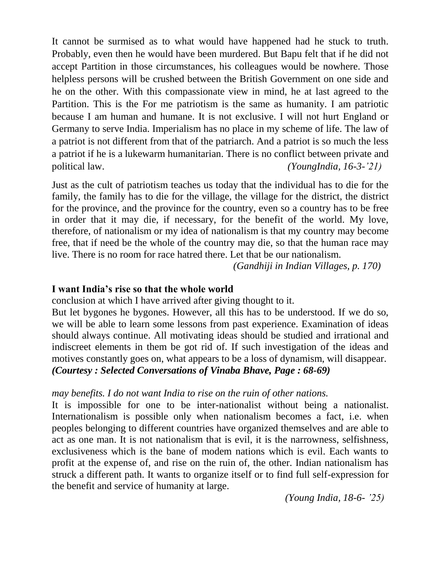It cannot be surmised as to what would have happened had he stuck to truth. Probably, even then he would have been murdered. But Bapu felt that if he did not accept Partition in those circumstances, his colleagues would be nowhere. Those helpless persons will be crushed between the British Government on one side and he on the other. With this compassionate view in mind, he at last agreed to the Partition. This is the For me patriotism is the same as humanity. I am patriotic because I am human and humane. It is not exclusive. I will not hurt England or Germany to serve India. Imperialism has no place in my scheme of life. The law of a patriot is not different from that of the patriarch. And a patriot is so much the less a patriot if he is a lukewarm humanitarian. There is no conflict between private and political law. *(YoungIndia, 16-3-'21)*

Just as the cult of patriotism teaches us today that the individual has to die for the family, the family has to die for the village, the village for the district, the district for the province, and the province for the country, even so a country has to be free in order that it may die, if necessary, for the benefit of the world. My love, therefore, of nationalism or my idea of nationalism is that my country may become free, that if need be the whole of the country may die, so that the human race may live. There is no room for race hatred there. Let that be our nationalism.

*(Gandhiji in Indian Villages, p. 170)*

### **I want India's rise so that the whole world**

conclusion at which I have arrived after giving thought to it.

But let bygones he bygones. However, all this has to be understood. If we do so, we will be able to learn some lessons from past experience. Examination of ideas should always continue. All motivating ideas should be studied and irrational and indiscreet elements in them be got rid of. If such investigation of the ideas and motives constantly goes on, what appears to be a loss of dynamism, will disappear. *(Courtesy : Selected Conversations of Vinaba Bhave, Page : 68-69)*

### *may benefits. I do not want India to rise on the ruin of other nations.*

It is impossible for one to be inter-nationalist without being a nationalist. Internationalism is possible only when nationalism becomes a fact, i.e. when peoples belonging to different countries have organized themselves and are able to act as one man. It is not nationalism that is evil, it is the narrowness, selfishness, exclusiveness which is the bane of modem nations which is evil. Each wants to profit at the expense of, and rise on the ruin of, the other. Indian nationalism has struck a different path. It wants to organize itself or to find full self-expression for the benefit and service of humanity at large.

*(Young India, 18-6- '25)*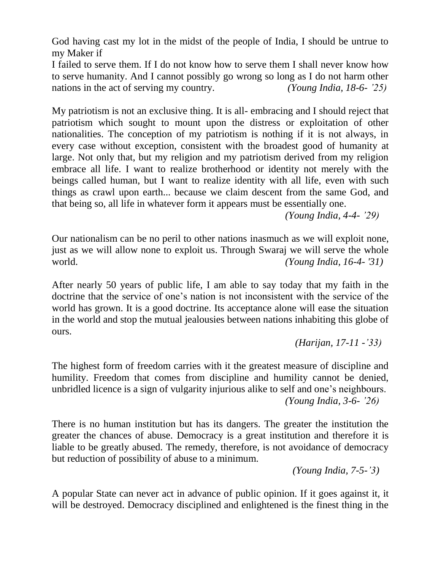God having cast my lot in the midst of the people of India, I should be untrue to my Maker if

I failed to serve them. If I do not know how to serve them I shall never know how to serve humanity. And I cannot possibly go wrong so long as I do not harm other nations in the act of serving my country. *(Young India, 18-6- '25)*

My patriotism is not an exclusive thing. It is all- embracing and I should reject that patriotism which sought to mount upon the distress or exploitation of other nationalities. The conception of my patriotism is nothing if it is not always, in every case without exception, consistent with the broadest good of humanity at large. Not only that, but my religion and my patriotism derived from my religion embrace all life. I want to realize brotherhood or identity not merely with the beings called human, but I want to realize identity with all life, even with such things as crawl upon earth... because we claim descent from the same God, and that being so, all life in whatever form it appears must be essentially one.

*(Young India, 4-4- '29)* 

Our nationalism can be no peril to other nations inasmuch as we will exploit none, just as we will allow none to exploit us. Through Swaraj we will serve the whole world. *(Young India, 16-4- '31)*

After nearly 50 years of public life, I am able to say today that my faith in the doctrine that the service of one's nation is not inconsistent with the service of the world has grown. It is a good doctrine. Its acceptance alone will ease the situation in the world and stop the mutual jealousies between nations inhabiting this globe of ours.

 *(Harijan, 17-11 -'33)*

The highest form of freedom carries with it the greatest measure of discipline and humility. Freedom that comes from discipline and humility cannot be denied, unbridled licence is a sign of vulgarity injurious alike to self and one's neighbours. *(Young India, 3-6- '26)*

There is no human institution but has its dangers. The greater the institution the greater the chances of abuse. Democracy is a great institution and therefore it is liable to be greatly abused. The remedy, therefore, is not avoidance of democracy but reduction of possibility of abuse to a minimum.

 *(Young India, 7-5-'3)*

A popular State can never act in advance of public opinion. If it goes against it, it will be destroyed. Democracy disciplined and enlightened is the finest thing in the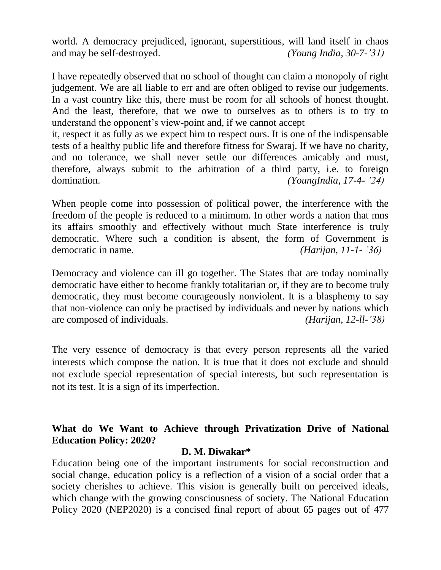world. A democracy prejudiced, ignorant, superstitious, will land itself in chaos and may be self-destroyed. *(Young India, 30-7-'31)*

I have repeatedly observed that no school of thought can claim a monopoly of right judgement. We are all liable to err and are often obliged to revise our judgements. In a vast country like this, there must be room for all schools of honest thought. And the least, therefore, that we owe to ourselves as to others is to try to understand the opponent's view-point and, if we cannot accept

it, respect it as fully as we expect him to respect ours. It is one of the indispensable tests of a healthy public life and therefore fitness for Swaraj. If we have no charity, and no tolerance, we shall never settle our differences amicably and must, therefore, always submit to the arbitration of a third party, i.e. to foreign domination. *(YoungIndia, 17-4- '24)*

When people come into possession of political power, the interference with the freedom of the people is reduced to a minimum. In other words a nation that mns its affairs smoothly and effectively without much State interference is truly democratic. Where such a condition is absent, the form of Government is democratic in name. *(Harijan, 11-1- '36)*

Democracy and violence can ill go together. The States that are today nominally democratic have either to become frankly totalitarian or, if they are to become truly democratic, they must become courageously nonviolent. It is a blasphemy to say that non-violence can only be practised by individuals and never by nations which are composed of individuals. *(Harijan, 12-ll-'38)*

The very essence of democracy is that every person represents all the varied interests which compose the nation. It is true that it does not exclude and should not exclude special representation of special interests, but such representation is not its test. It is a sign of its imperfection.

### **What do We Want to Achieve through Privatization Drive of National Education Policy: 2020?**

### **D. M. Diwakar\***

Education being one of the important instruments for social reconstruction and social change, education policy is a reflection of a vision of a social order that a society cherishes to achieve. This vision is generally built on perceived ideals, which change with the growing consciousness of society. The National Education Policy 2020 (NEP2020) is a concised final report of about 65 pages out of 477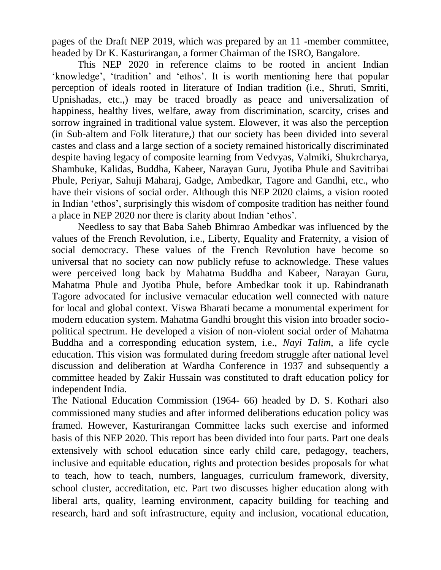pages of the Draft NEP 2019, which was prepared by an 11 -member committee, headed by Dr K. Kasturirangan, a former Chairman of the ISRO, Bangalore.

This NEP 2020 in reference claims to be rooted in ancient Indian 'knowledge', 'tradition' and 'ethos'. It is worth mentioning here that popular perception of ideals rooted in literature of Indian tradition (i.e., Shruti, Smriti, Upnishadas, etc.,) may be traced broadly as peace and universalization of happiness, healthy lives, welfare, away from discrimination, scarcity, crises and sorrow ingrained in traditional value system. Elowever, it was also the perception (in Sub-altem and Folk literature,) that our society has been divided into several castes and class and a large section of a society remained historically discriminated despite having legacy of composite learning from Vedvyas, Valmiki, Shukrcharya, Shambuke, Kalidas, Buddha, Kabeer, Narayan Guru, Jyotiba Phule and Savitribai Phule, Periyar, Sahuji Maharaj, Gadge, Ambedkar, Tagore and Gandhi, etc., who have their visions of social order. Although this NEP 2020 claims, a vision rooted in Indian 'ethos', surprisingly this wisdom of composite tradition has neither found a place in NEP 2020 nor there is clarity about Indian 'ethos'.

Needless to say that Baba Saheb Bhimrao Ambedkar was influenced by the values of the French Revolution, i.e., Liberty, Equality and Fraternity, a vision of social democracy. These values of the French Revolution have become so universal that no society can now publicly refuse to acknowledge. These values were perceived long back by Mahatma Buddha and Kabeer, Narayan Guru, Mahatma Phule and Jyotiba Phule, before Ambedkar took it up. Rabindranath Tagore advocated for inclusive vernacular education well connected with nature for local and global context. Viswa Bharati became a monumental experiment for modern education system. Mahatma Gandhi brought this vision into broader sociopolitical spectrum. He developed a vision of non-violent social order of Mahatma Buddha and a corresponding education system, i.e., *Nayi Talim,* a life cycle education. This vision was formulated during freedom struggle after national level discussion and deliberation at Wardha Conference in 1937 and subsequently a committee headed by Zakir Hussain was constituted to draft education policy for independent India.

The National Education Commission (1964- 66) headed by D. S. Kothari also commissioned many studies and after informed deliberations education policy was framed. However, Kasturirangan Committee lacks such exercise and informed basis of this NEP 2020. This report has been divided into four parts. Part one deals extensively with school education since early child care, pedagogy, teachers, inclusive and equitable education, rights and protection besides proposals for what to teach, how to teach, numbers, languages, curriculum framework, diversity, school cluster, accreditation, etc. Part two discusses higher education along with liberal arts, quality, learning environment, capacity building for teaching and research, hard and soft infrastructure, equity and inclusion, vocational education,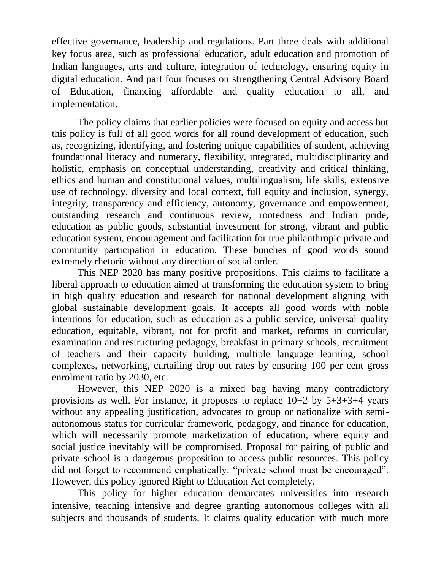effective governance, leadership and regulations. Part three deals with additional key focus area, such as professional education, adult education and promotion of Indian languages, arts and culture, integration of technology, ensuring equity in digital education. And part four focuses on strengthening Central Advisory Board of Education, financing affordable and quality education to all, and implementation.

The policy claims that earlier policies were focused on equity and access but this policy is full of all good words for all round development of education, such as, recognizing, identifying, and fostering unique capabilities of student, achieving foundational literacy and numeracy, flexibility, integrated, multidisciplinarity and holistic, emphasis on conceptual understanding, creativity and critical thinking, ethics and human and constitutional values, multilingualism, life skills, extensive use of technology, diversity and local context, full equity and inclusion, synergy, integrity, transparency and efficiency, autonomy, governance and empowerment, outstanding research and continuous review, rootedness and Indian pride, education as public goods, substantial investment for strong, vibrant and public education system, encouragement and facilitation for true philanthropic private and community participation in education. These bunches of good words sound extremely rhetoric without any direction of social order.

This NEP 2020 has many positive propositions. This claims to facilitate a liberal approach to education aimed at transforming the education system to bring in high quality education and research for national development aligning with global sustainable development goals. It accepts all good words with noble intentions for education, such as education as a public service, universal quality education, equitable, vibrant, not for profit and market, reforms in curricular, examination and restructuring pedagogy, breakfast in primary schools, recruitment of teachers and their capacity building, multiple language learning, school complexes, networking, curtailing drop out rates by ensuring 100 per cent gross enrolment ratio by 2030, etc.

However, this NEP 2020 is a mixed bag having many contradictory provisions as well. For instance, it proposes to replace  $10+2$  by  $5+3+3+4$  years without any appealing justification, advocates to group or nationalize with semiautonomous status for curricular framework, pedagogy, and finance for education, which will necessarily promote marketization of education, where equity and social justice inevitably will be compromised. Proposal for pairing of public and private school is a dangerous proposition to access public resources. This policy did not forget to recommend emphatically: "private school must be encouraged". However, this policy ignored Right to Education Act completely.

This policy for higher education demarcates universities into research intensive, teaching intensive and degree granting autonomous colleges with all subjects and thousands of students. It claims quality education with much more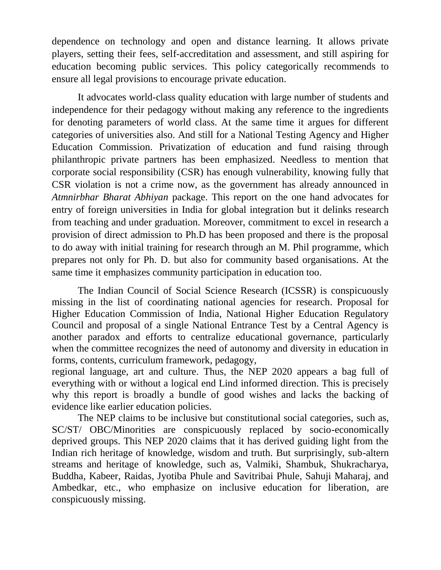dependence on technology and open and distance learning. It allows private players, setting their fees, self-accreditation and assessment, and still aspiring for education becoming public services. This policy categorically recommends to ensure all legal provisions to encourage private education.

It advocates world-class quality education with large number of students and independence for their pedagogy without making any reference to the ingredients for denoting parameters of world class. At the same time it argues for different categories of universities also. And still for a National Testing Agency and Higher Education Commission. Privatization of education and fund raising through philanthropic private partners has been emphasized. Needless to mention that corporate social responsibility (CSR) has enough vulnerability, knowing fully that CSR violation is not a crime now, as the government has already announced in *Atmnirbhar Bharat Abhiyan* package. This report on the one hand advocates for entry of foreign universities in India for global integration but it delinks research from teaching and under graduation. Moreover, commitment to excel in research a provision of direct admission to Ph.D has been proposed and there is the proposal to do away with initial training for research through an M. Phil programme, which prepares not only for Ph. D. but also for community based organisations. At the same time it emphasizes community participation in education too.

The Indian Council of Social Science Research (ICSSR) is conspicuously missing in the list of coordinating national agencies for research. Proposal for Higher Education Commission of India, National Higher Education Regulatory Council and proposal of a single National Entrance Test by a Central Agency is another paradox and efforts to centralize educational governance, particularly when the committee recognizes the need of autonomy and diversity in education in forms, contents, curriculum framework, pedagogy,

regional language, art and culture. Thus, the NEP 2020 appears a bag full of everything with or without a logical end Lind informed direction. This is precisely why this report is broadly a bundle of good wishes and lacks the backing of evidence like earlier education policies.

The NEP claims to be inclusive but constitutional social categories, such as, SC/ST/ OBC/Minorities are conspicuously replaced by socio-economically deprived groups. This NEP 2020 claims that it has derived guiding light from the Indian rich heritage of knowledge, wisdom and truth. But surprisingly, sub-altern streams and heritage of knowledge, such as, Valmiki, Shambuk, Shukracharya, Buddha, Kabeer, Raidas, Jyotiba Phule and Savitribai Phule, Sahuji Maharaj, and Ambedkar, etc., who emphasize on inclusive education for liberation, are conspicuously missing.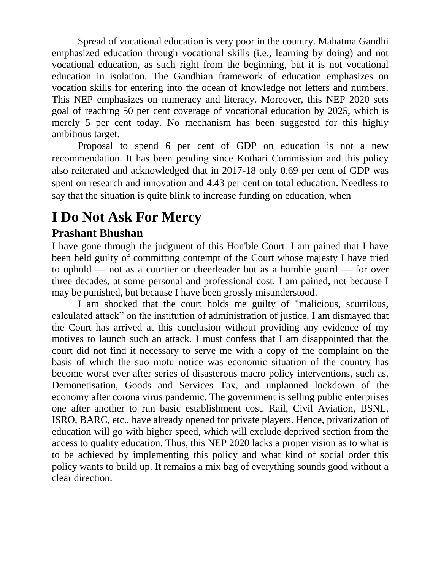Spread of vocational education is very poor in the country. Mahatma Gandhi emphasized education through vocational skills (i.e., learning by doing) and not vocational education, as such right from the beginning, but it is not vocational education in isolation. The Gandhian framework of education emphasizes on vocation skills for entering into the ocean of knowledge not letters and numbers. This NEP emphasizes on numeracy and literacy. Moreover, this NEP 2020 sets goal of reaching 50 per cent coverage of vocational education by 2025, which is merely 5 per cent today. No mechanism has been suggested for this highly ambitious target.

Proposal to spend 6 per cent of GDP on education is not a new recommendation. It has been pending since Kothari Commission and this policy also reiterated and acknowledged that in 2017-18 only 0.69 per cent of GDP was spent on research and innovation and 4.43 per cent on total education. Needless to say that the situation is quite blink to increase funding on education, when

## **I Do Not Ask For Mercy**

### **Prashant Bhushan**

I have gone through the judgment of this Hon'ble Court. I am pained that I have been held guilty of committing contempt of the Court whose majesty I have tried to uphold — not as a courtier or cheerleader but as a humble guard — for over three decades, at some personal and professional cost. I am pained, not because I may be punished, but because I have been grossly misunderstood.

I am shocked that the court holds me guilty of "malicious, scurrilous, calculated attack" on the institution of administration of justice. I am dismayed that the Court has arrived at this conclusion without providing any evidence of my motives to launch such an attack. I must confess that I am disappointed that the court did not find it necessary to serve me with a copy of the complaint on the basis of which the suo motu notice was economic situation of the country has become worst ever after series of disasterous macro policy interventions, such as, Demonetisation, Goods and Services Tax, and unplanned lockdown of the economy after corona virus pandemic. The government is selling public enterprises one after another to run basic establishment cost. Rail, Civil Aviation, BSNL, ISRO, BARC, etc., have already opened for private players. Hence, privatization of education will go with higher speed, which will exclude deprived section from the access to quality education. Thus, this NEP 2020 lacks a proper vision as to what is to be achieved by implementing this policy and what kind of social order this policy wants to build up. It remains a mix bag of everything sounds good without a clear direction.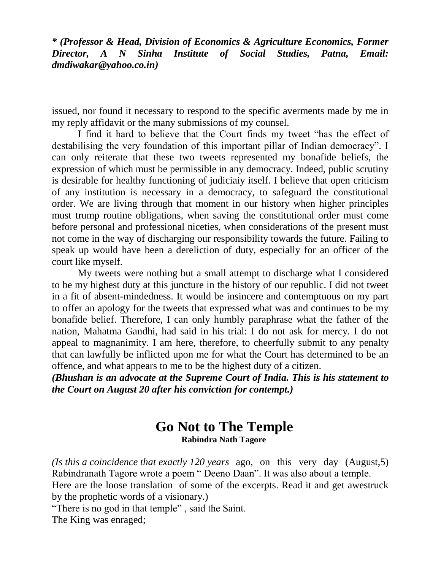*\* (Professor & Head, Division of Economics & Agriculture Economics, Former Director, A N Sinha Institute of Social Studies, Patna, Email: [dmdiwakar@yahoo.co.in\)](mailto:dmdiwakar@yahoo.co.in)* 

issued, nor found it necessary to respond to the specific averments made by me in my reply affidavit or the many submissions of my counsel.

I find it hard to believe that the Court finds my tweet "has the effect of destabilising the very foundation of this important pillar of Indian democracy". I can only reiterate that these two tweets represented my bonafide beliefs, the expression of which must be permissible in any democracy. Indeed, public scrutiny is desirable for healthy functioning of judiciaiy itself. I believe that open criticism of any institution is necessary in a democracy, to safeguard the constitutional order. We are living through that moment in our history when higher principles must trump routine obligations, when saving the constitutional order must come before personal and professional niceties, when considerations of the present must not come in the way of discharging our responsibility towards the future. Failing to speak up would have been a dereliction of duty, especially for an officer of the court like myself.

My tweets were nothing but a small attempt to discharge what I considered to be my highest duty at this juncture in the history of our republic. I did not tweet in a fit of absent-mindedness. It would be insincere and contemptuous on my part to offer an apology for the tweets that expressed what was and continues to be my bonafide belief. Therefore, I can only humbly paraphrase what the father of the nation, Mahatma Gandhi, had said in his trial: I do not ask for mercy. I do not appeal to magnanimity. I am here, therefore, to cheerfully submit to any penalty that can lawfully be inflicted upon me for what the Court has determined to be an offence, and what appears to me to be the highest duty of a citizen.

*(Bhushan is an advocate at the Supreme Court of India. This is his statement to the Court on August 20 after his conviction for contempt.)*

# **Go Not to The Temple**

**Rabindra Nath Tagore**

*(Is this a coincidence that exactly 120 years* ago, on this very day (August,5) Rabindranath Tagore wrote a poem " Deeno Daan". It was also about a temple. Here are the loose translation of some of the excerpts. Read it and get awestruck by the prophetic words of a visionary.)

"There is no god in that temple" , said the Saint.

The King was enraged;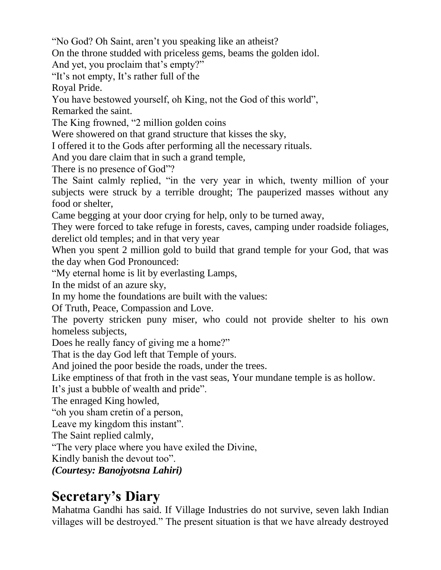"No God? Oh Saint, aren't you speaking like an atheist?

On the throne studded with priceless gems, beams the golden idol.

And yet, you proclaim that's empty?"

"It's not empty, It's rather full of the

Royal Pride.

You have bestowed yourself, oh King, not the God of this world",

Remarked the saint.

The King frowned, "2 million golden coins

Were showered on that grand structure that kisses the sky,

I offered it to the Gods after performing all the necessary rituals.

And you dare claim that in such a grand temple,

There is no presence of God"?

The Saint calmly replied, "in the very year in which, twenty million of your subjects were struck by a terrible drought; The pauperized masses without any food or shelter,

Came begging at your door crying for help, only to be turned away,

They were forced to take refuge in forests, caves, camping under roadside foliages, derelict old temples; and in that very year

When you spent 2 million gold to build that grand temple for your God, that was the day when God Pronounced:

"My eternal home is lit by everlasting Lamps,

In the midst of an azure sky,

In my home the foundations are built with the values:

Of Truth, Peace, Compassion and Love.

The poverty stricken puny miser, who could not provide shelter to his own homeless subjects,

Does he really fancy of giving me a home?"

That is the day God left that Temple of yours.

And joined the poor beside the roads, under the trees.

Like emptiness of that froth in the vast seas, Your mundane temple is as hollow.

It's just a bubble of wealth and pride".

The enraged King howled,

"oh you sham cretin of a person,

Leave my kingdom this instant".

The Saint replied calmly,

"The very place where you have exiled the Divine,

Kindly banish the devout too".

*(Courtesy: Banojyotsna Lahiri)*

## **Secretary's Diary**

Mahatma Gandhi has said. If Village Industries do not survive, seven lakh Indian villages will be destroyed." The present situation is that we have already destroyed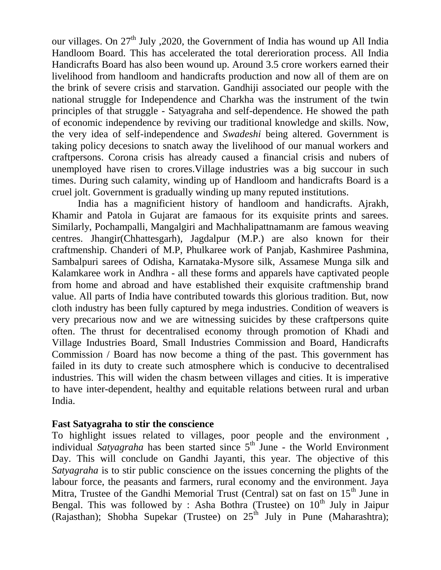our villages. On  $27<sup>th</sup>$  July , 2020, the Government of India has wound up All India Handloom Board. This has accelerated the total dererioration process. All India Handicrafts Board has also been wound up. Around 3.5 crore workers earned their livelihood from handloom and handicrafts production and now all of them are on the brink of severe crisis and starvation. Gandhiji associated our people with the national struggle for Independence and Charkha was the instrument of the twin principles of that struggle - Satyagraha and self-dependence. He showed the path of economic independence by reviving our traditional knowledge and skills. Now, the very idea of self-independence and *Swadeshi* being altered. Government is taking policy decesions to snatch away the livelihood of our manual workers and craftpersons. Corona crisis has already caused a financial crisis and nubers of unemployed have risen to crores.Village industries was a big succour in such times. During such calamity, winding up of Handloom and handicrafts Board is a cruel jolt. Government is gradually winding up many reputed institutions.

India has a magnificient history of handloom and handicrafts. Ajrakh, Khamir and Patola in Gujarat are famaous for its exquisite prints and sarees. Similarly, Pochampalli, Mangalgiri and Machhalipattnamanm are famous weaving centres. Jhangir(Chhattesgarh), Jagdalpur (M.P.) are also known for their craftmenship. Chanderi of M.P, Phulkaree work of Panjab, Kashmiree Pashmina, Sambalpuri sarees of Odisha, Karnataka-Mysore silk, Assamese Munga silk and Kalamkaree work in Andhra - all these forms and apparels have captivated people from home and abroad and have established their exquisite craftmenship brand value. All parts of India have contributed towards this glorious tradition. But, now cloth industry has been fully captured by mega industries. Condition of weavers is very precarious now and we are witnessing suicides by these craftpersons quite often. The thrust for decentralised economy through promotion of Khadi and Village Industries Board, Small Industries Commission and Board, Handicrafts Commission / Board has now become a thing of the past. This government has failed in its duty to create such atmosphere which is conducive to decentralised industries. This will widen the chasm between villages and cities. It is imperative to have inter-dependent, healthy and equitable relations between rural and urban India.

#### **Fast Satyagraha to stir the conscience**

To highlight issues related to villages, poor people and the environment , individual *Satyagraha* has been started since 5<sup>th</sup> June - the World Environment Day. This will conclude on Gandhi Jayanti, this year. The objective of this *Satyagraha* is to stir public conscience on the issues concerning the plights of the labour force, the peasants and farmers, rural economy and the environment. Jaya Mitra, Trustee of the Gandhi Memorial Trust (Central) sat on fast on  $15<sup>th</sup>$  June in Bengal. This was followed by : Asha Bothra (Trustee) on  $10<sup>th</sup>$  July in Jaipur (Rajasthan); Shobha Supekar (Trustee) on  $25<sup>th</sup>$  July in Pune (Maharashtra);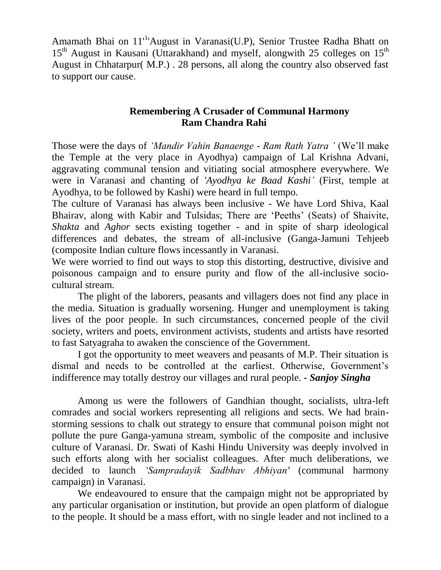Amamath Bhai on 11<sup>-1</sup>'August in Varanasi(U.P), Senior Trustee Radha Bhatt on  $15<sup>th</sup>$  August in Kausani (Uttarakhand) and myself, alongwith 25 colleges on  $15<sup>th</sup>$ August in Chhatarpur( M.P.) . 28 persons, all along the country also observed fast to support our cause.

### **Remembering A Crusader of Communal Harmony Ram Chandra Rahi**

Those were the days of *'Mandir Vahin Banaenge - Ram Rath Yatra '* (We'll make the Temple at the very place in Ayodhya) campaign of Lal Krishna Advani, aggravating communal tension and vitiating social atmosphere everywhere. We were in Varanasi and chanting of *'Ayodhya ke Baad Kashi'* (First, temple at Ayodhya, to be followed by Kashi) were heard in full tempo.

The culture of Varanasi has always been inclusive - We have Lord Shiva, Kaal Bhairav, along with Kabir and Tulsidas; There are 'Peeths' (Seats) of Shaivite, *Shakta* and *Aghor* sects existing together - and in spite of sharp ideological differences and debates, the stream of all-inclusive (Ganga-Jamuni Tehjeeb (composite Indian culture flows incessantly in Varanasi.

We were worried to find out ways to stop this distorting, destructive, divisive and poisonous campaign and to ensure purity and flow of the all-inclusive sociocultural stream.

The plight of the laborers, peasants and villagers does not find any place in the media. Situation is gradually worsening. Hunger and unemployment is taking lives of the poor people. In such circumstances, concerned people of the civil society, writers and poets, environment activists, students and artists have resorted to fast Satyagraha to awaken the conscience of the Government.

I got the opportunity to meet weavers and peasants of M.P. Their situation is dismal and needs to be controlled at the earliest. Otherwise, Government's indifference may totally destroy our villages and rural people. *- Sanjoy Singha*

Among us were the followers of Gandhian thought, socialists, ultra-left comrades and social workers representing all religions and sects. We had brainstorming sessions to chalk out strategy to ensure that communal poison might not pollute the pure Ganga-yamuna stream, symbolic of the composite and inclusive culture of Varanasi. Dr. Swati of Kashi Hindu University was deeply involved in such efforts along with her socialist colleagues. After much deliberations, we decided to launch *'Sampradayik Sadbhav Abhiyan'* (communal harmony campaign) in Varanasi.

We endeavoured to ensure that the campaign might not be appropriated by any particular organisation or institution, but provide an open platform of dialogue to the people. It should be a mass effort, with no single leader and not inclined to a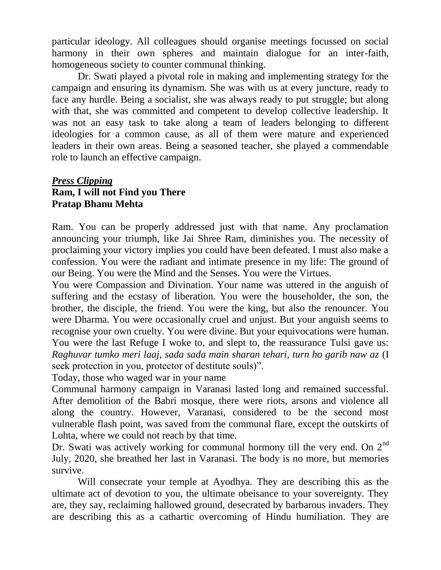particular ideology. All colleagues should organise meetings focussed on social harmony in their own spheres and maintain dialogue for an inter-faith, homogeneous society to counter communal thinking.

Dr. Swati played a pivotal role in making and implementing strategy for the campaign and ensuring its dynamism. She was with us at every juncture, ready to face any hurdle. Being a socialist, she was always ready to put struggle; but along with that, she was committed and competent to develop collective leadership. It was not an easy task to take along a team of leaders belonging to different ideologies for a common cause, as all of them were mature and experienced leaders in their own areas. Being a seasoned teacher, she played a commendable role to launch an effective campaign.

### *Press Clipping* **Ram, I will not Find you There Pratap Bhanu Mehta**

Ram. You can be properly addressed just with that name. Any proclamation announcing your triumph, like Jai Shree Ram, diminishes you. The necessity of proclaiming your victory implies you could have been defeated. I must also make a confession. You were the radiant and intimate presence in my life: The ground of our Being. You were the Mind and the Senses. You were the Virtues.

You were Compassion and Divination. Your name was uttered in the anguish of suffering and the ecstasy of liberation. You were the householder, the son, the brother, the disciple, the friend. You were the king, but also the renouncer. You were Dharma. You were occasionally cruel and unjust. But your anguish seems to recognise your own cruelty. You were divine. But your equivocations were human. You were the last Refuge I woke to, and slept to, the reassurance Tulsi gave us: *Raghuvar tumko meri laaj, sada sada main sharan tehari, turn ho garib naw az* (I seek protection in you, protector of destitute souls)".

Today, those who waged war in your name

Communal harmony campaign in Varanasi lasted long and remained successful. After demolition of the Babri mosque, there were riots, arsons and violence all along the country. However, Varanasi, considered to be the second most vulnerable flash point, was saved from the communal flare, except the outskirts of Lohta, where we could not reach by that time.

Dr. Swati was actively working for communal hormony till the very end. On  $2<sup>nd</sup>$ July, 2020, she breathed her last in Varanasi. The body is no more, but memories survive.

Will consecrate your temple at Ayodhya. They are describing this as the ultimate act of devotion to you, the ultimate obeisance to your sovereignty. They are, they say, reclaiming hallowed ground, desecrated by barbarous invaders. They are describing this as a cathartic overcoming of Hindu humiliation. They are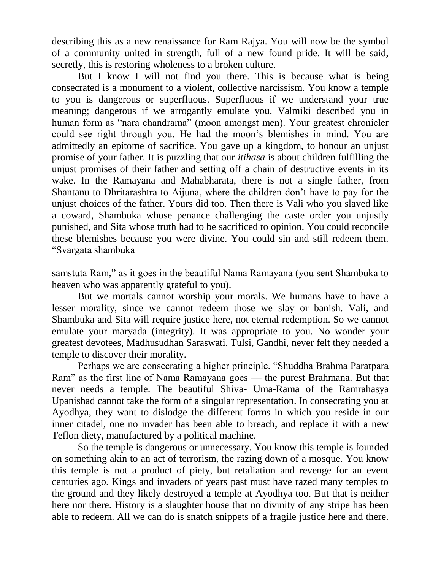describing this as a new renaissance for Ram Rajya. You will now be the symbol of a community united in strength, full of a new found pride. It will be said, secretly, this is restoring wholeness to a broken culture.

But I know I will not find you there. This is because what is being consecrated is a monument to a violent, collective narcissism. You know a temple to you is dangerous or superfluous. Superfluous if we understand your true meaning; dangerous if we arrogantly emulate you. Valmiki described you in human form as "nara chandrama" (moon amongst men). Your greatest chronicler could see right through you. He had the moon's blemishes in mind. You are admittedly an epitome of sacrifice. You gave up a kingdom, to honour an unjust promise of your father. It is puzzling that our *itihasa* is about children fulfilling the unjust promises of their father and setting off a chain of destructive events in its wake. In the Ramayana and Mahabharata, there is not a single father, from Shantanu to Dhritarashtra to Aijuna, where the children don't have to pay for the unjust choices of the father. Yours did too. Then there is Vali who you slaved like a coward, Shambuka whose penance challenging the caste order you unjustly punished, and Sita whose truth had to be sacrificed to opinion. You could reconcile these blemishes because you were divine. You could sin and still redeem them. "Svargata shambuka

samstuta Ram," as it goes in the beautiful Nama Ramayana (you sent Shambuka to heaven who was apparently grateful to you).

But we mortals cannot worship your morals. We humans have to have a lesser morality, since we cannot redeem those we slay or banish. Vali, and Shambuka and Sita will require justice here, not eternal redemption. So we cannot emulate your maryada (integrity). It was appropriate to you. No wonder your greatest devotees, Madhusudhan Saraswati, Tulsi, Gandhi, never felt they needed a temple to discover their morality.

Perhaps we are consecrating a higher principle. "Shuddha Brahma Paratpara Ram" as the first line of Nama Ramayana goes — the purest Brahmana. But that never needs a temple. The beautiful Shiva- Uma-Rama of the Ramrahasya Upanishad cannot take the form of a singular representation. In consecrating you at Ayodhya, they want to dislodge the different forms in which you reside in our inner citadel, one no invader has been able to breach, and replace it with a new Teflon diety, manufactured by a political machine.

So the temple is dangerous or unnecessary. You know this temple is founded on something akin to an act of terrorism, the razing down of a mosque. You know this temple is not a product of piety, but retaliation and revenge for an event centuries ago. Kings and invaders of years past must have razed many temples to the ground and they likely destroyed a temple at Ayodhya too. But that is neither here nor there. History is a slaughter house that no divinity of any stripe has been able to redeem. All we can do is snatch snippets of a fragile justice here and there.